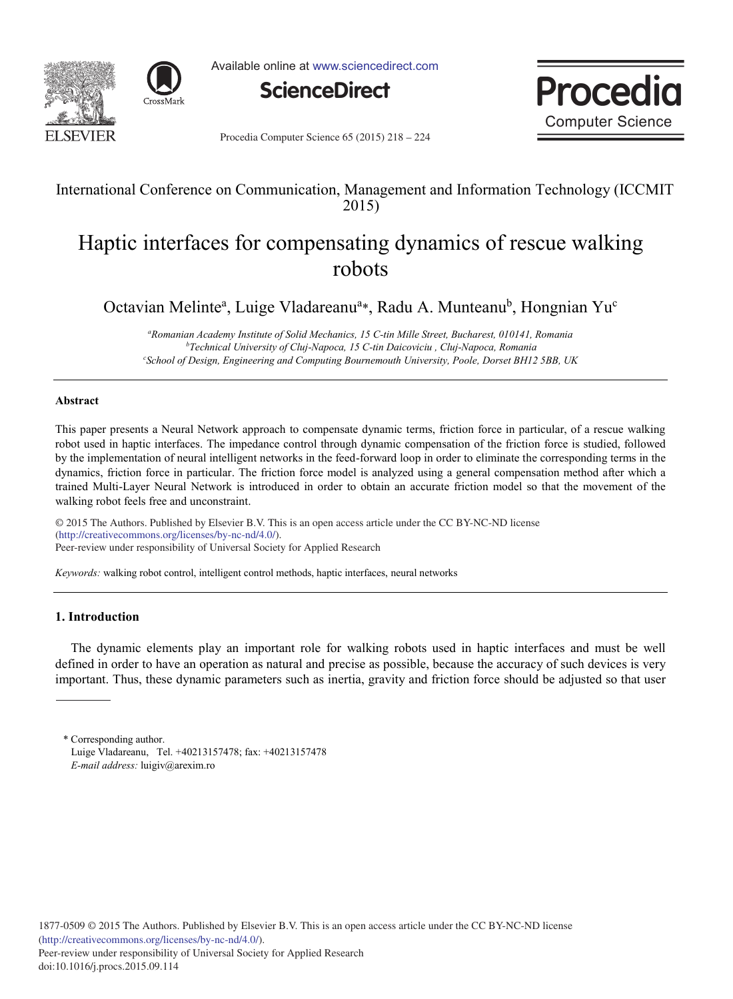



Available online at www.sciencedirect.com





Procedia Computer Science 65 (2015) 218 - 224

# International Conference on Communication, Management and Information Technology (ICCMIT 2015)

# Haptic interfaces for compensating dynamics of rescue walking robots

Octavian Melinte<sup>a</sup>, Luige Vladareanu<sup>a\*</sup>, Radu A. Munteanu<sup>b</sup>, Hongnian Yu<sup>c</sup>

*a Romanian Academy Institute of Solid Mechanics, 15 C-tin Mille Street, Bucharest, 010141, Romania bTechnical University of Cluj-Napoca, 15 C-tin Daicoviciu , Cluj-Napoca, Romania c School of Design, Engineering and Computing Bournemouth University, Poole, Dorset BH12 5BB, UK*

## **Abstract**

This paper presents a Neural Network approach to compensate dynamic terms, friction force in particular, of a rescue walking robot used in haptic interfaces. The impedance control through dynamic compensation of the friction force is studied, followed by the implementation of neural intelligent networks in the feed-forward loop in order to eliminate the corresponding terms in the dynamics, friction force in particular. The friction force model is analyzed using a general compensation method after which a trained Multi-Layer Neural Network is introduced in order to obtain an accurate friction model so that the movement of the walking robot feels free and unconstraint.

© 2015 The Authors. Published by Elsevier B.V. (http://creativecommons.org/licenses/by-nc-nd/4.0/). Peer-review under responsibility of Universal Society for Applied Research. Peer-review under responsibility of Universal Society for Applied Research© 2015 The Authors. Published by Elsevier B.V. This is an open access article under the CC BY-NC-ND license

*Keywords:* walking robot control, intelligent control methods, haptic interfaces, neural networks

# **1. Introduction**

The dynamic elements play an important role for walking robots used in haptic interfaces and must be well defined in order to have an operation as natural and precise as possible, because the accuracy of such devices is very important. Thus, these dynamic parameters such as inertia, gravity and friction force should be adjusted so that user

\* Corresponding author. Luige Vladareanu, Tel. +40213157478; fax: +40213157478 *E-mail address:* luigiv@arexim.ro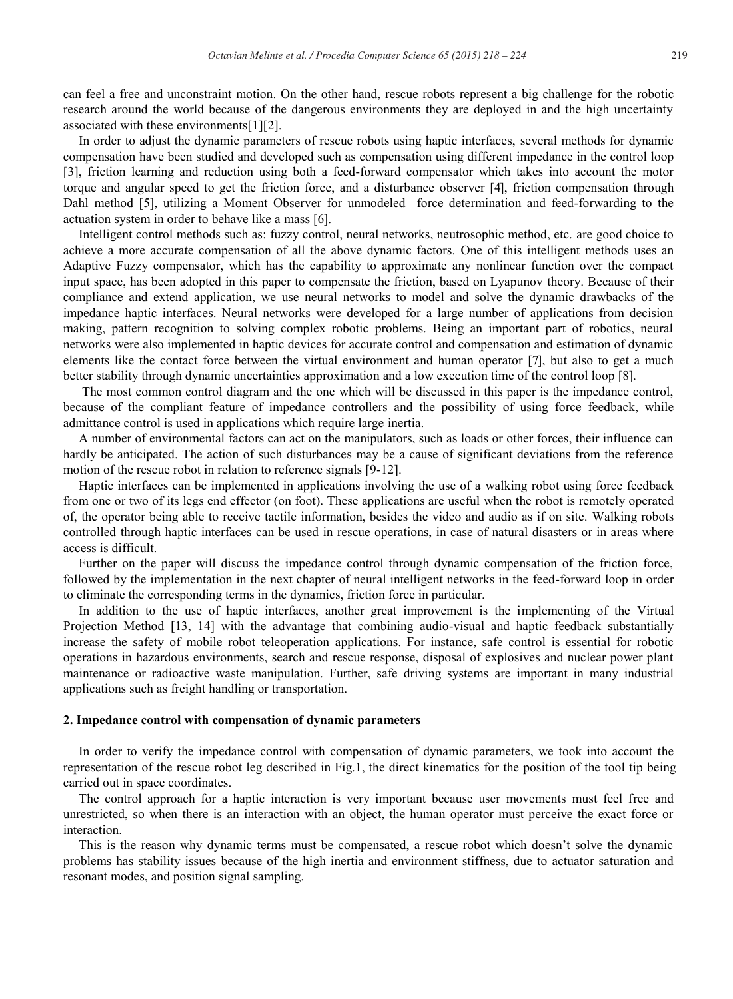can feel a free and unconstraint motion. On the other hand, rescue robots represent a big challenge for the robotic research around the world because of the dangerous environments they are deployed in and the high uncertainty associated with these environments[1][2].

In order to adjust the dynamic parameters of rescue robots using haptic interfaces, several methods for dynamic compensation have been studied and developed such as compensation using different impedance in the control loop [3], friction learning and reduction using both a feed-forward compensator which takes into account the motor torque and angular speed to get the friction force, and a disturbance observer [4], friction compensation through Dahl method [5], utilizing a Moment Observer for unmodeled force determination and feed-forwarding to the actuation system in order to behave like a mass [6].

Intelligent control methods such as: fuzzy control, neural networks, neutrosophic method, etc. are good choice to achieve a more accurate compensation of all the above dynamic factors. One of this intelligent methods uses an Adaptive Fuzzy compensator, which has the capability to approximate any nonlinear function over the compact input space, has been adopted in this paper to compensate the friction, based on Lyapunov theory. Because of their compliance and extend application, we use neural networks to model and solve the dynamic drawbacks of the impedance haptic interfaces. Neural networks were developed for a large number of applications from decision making, pattern recognition to solving complex robotic problems. Being an important part of robotics, neural networks were also implemented in haptic devices for accurate control and compensation and estimation of dynamic elements like the contact force between the virtual environment and human operator [7], but also to get a much better stability through dynamic uncertainties approximation and a low execution time of the control loop [8].

The most common control diagram and the one which will be discussed in this paper is the impedance control, because of the compliant feature of impedance controllers and the possibility of using force feedback, while admittance control is used in applications which require large inertia.

A number of environmental factors can act on the manipulators, such as loads or other forces, their influence can hardly be anticipated. The action of such disturbances may be a cause of significant deviations from the reference motion of the rescue robot in relation to reference signals [9-12].

Haptic interfaces can be implemented in applications involving the use of a walking robot using force feedback from one or two of its legs end effector (on foot). These applications are useful when the robot is remotely operated of, the operator being able to receive tactile information, besides the video and audio as if on site. Walking robots controlled through haptic interfaces can be used in rescue operations, in case of natural disasters or in areas where access is difficult.

Further on the paper will discuss the impedance control through dynamic compensation of the friction force, followed by the implementation in the next chapter of neural intelligent networks in the feed-forward loop in order to eliminate the corresponding terms in the dynamics, friction force in particular.

In addition to the use of haptic interfaces, another great improvement is the implementing of the Virtual Projection Method [13, 14] with the advantage that combining audio-visual and haptic feedback substantially increase the safety of mobile robot teleoperation applications. For instance, safe control is essential for robotic operations in hazardous environments, search and rescue response, disposal of explosives and nuclear power plant maintenance or radioactive waste manipulation. Further, safe driving systems are important in many industrial applications such as freight handling or transportation.

#### **2. Impedance control with compensation of dynamic parameters**

In order to verify the impedance control with compensation of dynamic parameters, we took into account the representation of the rescue robot leg described in Fig.1, the direct kinematics for the position of the tool tip being carried out in space coordinates.

The control approach for a haptic interaction is very important because user movements must feel free and unrestricted, so when there is an interaction with an object, the human operator must perceive the exact force or interaction.

This is the reason why dynamic terms must be compensated, a rescue robot which doesn't solve the dynamic problems has stability issues because of the high inertia and environment stiffness, due to actuator saturation and resonant modes, and position signal sampling.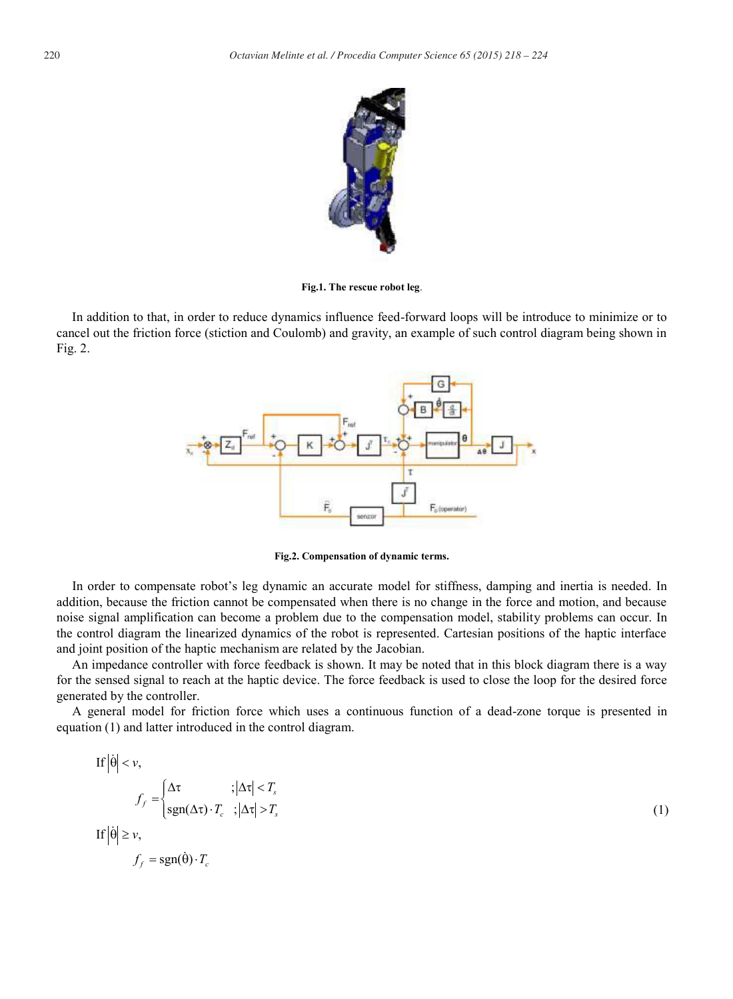

**Fig.1. The rescue robot leg**.

In addition to that, in order to reduce dynamics influence feed-forward loops will be introduce to minimize or to cancel out the friction force (stiction and Coulomb) and gravity, an example of such control diagram being shown in Fig. 2.



**Fig.2. Compensation of dynamic terms.**

In order to compensate robot's leg dynamic an accurate model for stiffness, damping and inertia is needed. In addition, because the friction cannot be compensated when there is no change in the force and motion, and because noise signal amplification can become a problem due to the compensation model, stability problems can occur. In the control diagram the linearized dynamics of the robot is represented. Cartesian positions of the haptic interface and joint position of the haptic mechanism are related by the Jacobian.

An impedance controller with force feedback is shown. It may be noted that in this block diagram there is a way for the sensed signal to reach at the haptic device. The force feedback is used to close the loop for the desired force generated by the controller.

A general model for friction force which uses a continuous function of a dead-zone torque is presented in equation (1) and latter introduced in the control diagram.

If 
$$
|\hat{\theta}| < \nu
$$
,  
\n
$$
f_f = \begin{cases} \Delta \tau & ; |\Delta \tau| < T_s \\ \text{sgn}(\Delta \tau) \cdot T_c & ; |\Delta \tau| > T_s \end{cases}
$$
\nIf  $|\hat{\theta}| \ge \nu$ ,  
\n
$$
f_f = \text{sgn}(\hat{\theta}) \cdot T_c
$$
\n(1)

 $\mathbf{r}$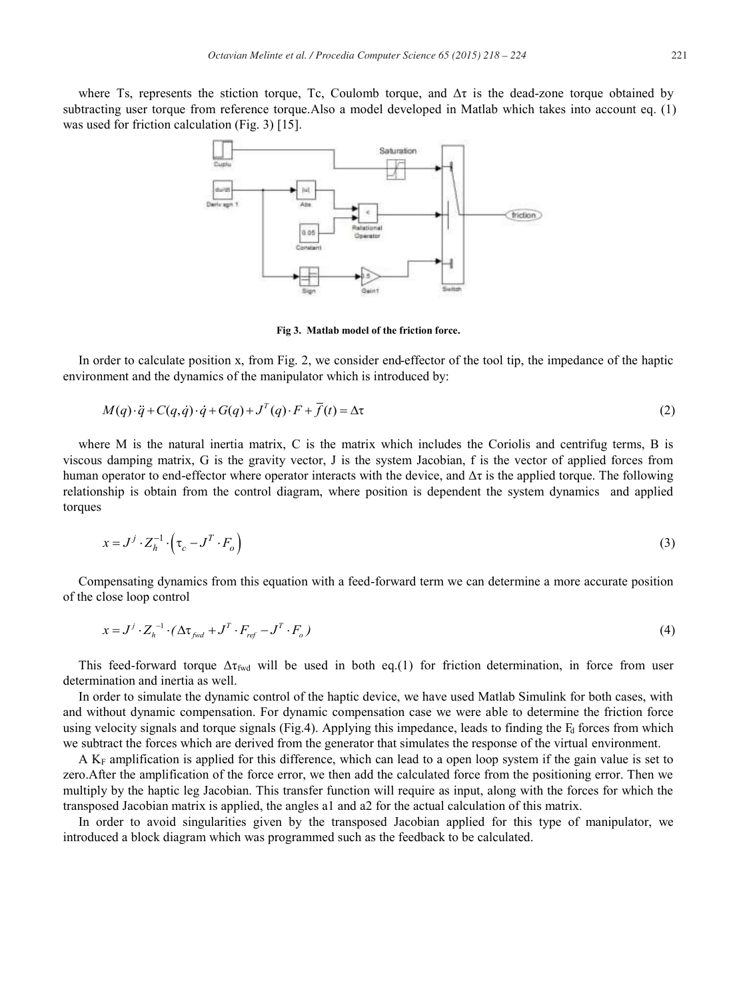where Ts, represents the stiction torque, Tc, Coulomb torque, and  $\Delta \tau$  is the dead-zone torque obtained by subtracting user torque from reference torque.Also a model developed in Matlab which takes into account eq. (1) was used for friction calculation (Fig. 3) [15].



**Fig 3. Matlab model of the friction force.**

In order to calculate position x, from Fig. 2, we consider end-effector of the tool tip, the impedance of the haptic environment and the dynamics of the manipulator which is introduced by:

$$
M(q) \cdot \ddot{q} + C(q, \dot{q}) \cdot \dot{q} + G(q) + J^T(q) \cdot F + \overline{f}(t) = \Delta \tau
$$
\n<sup>(2)</sup>

where M is the natural inertia matrix, C is the matrix which includes the Coriolis and centrifug terms, B is viscous damping matrix, G is the gravity vector, J is the system Jacobian, f is the vector of applied forces from human operator to end-effector where operator interacts with the device, and  $Δτ$  is the applied torque. The following relationship is obtain from the control diagram, where position is dependent the system dynamics and applied torques

$$
x = J^j \cdot Z_h^{-1} \cdot \left(\tau_c - J^T \cdot F_o\right) \tag{3}
$$

Compensating dynamics from this equation with a feed-forward term we can determine a more accurate position of the close loop control

$$
x = J^j \cdot Z_h^{-1} \cdot (\Delta \tau_{\text{fwd}} + J^T \cdot F_{\text{ref}} - J^T \cdot F_o) \tag{4}
$$

This feed-forward torque  $\Delta \tau_{fwd}$  will be used in both eq.(1) for friction determination, in force from user determination and inertia as well.

In order to simulate the dynamic control of the haptic device, we have used Matlab Simulink for both cases, with and without dynamic compensation. For dynamic compensation case we were able to determine the friction force using velocity signals and torque signals (Fig.4). Applying this impedance, leads to finding the  $F_d$  forces from which we subtract the forces which are derived from the generator that simulates the response of the virtual environment.

A KF amplification is applied for this difference, which can lead to a open loop system if the gain value is set to zero.After the amplification of the force error, we then add the calculated force from the positioning error. Then we multiply by the haptic leg Jacobian. This transfer function will require as input, along with the forces for which the transposed Jacobian matrix is applied, the angles a1 and a2 for the actual calculation of this matrix.

In order to avoid singularities given by the transposed Jacobian applied for this type of manipulator, we introduced a block diagram which was programmed such as the feedback to be calculated.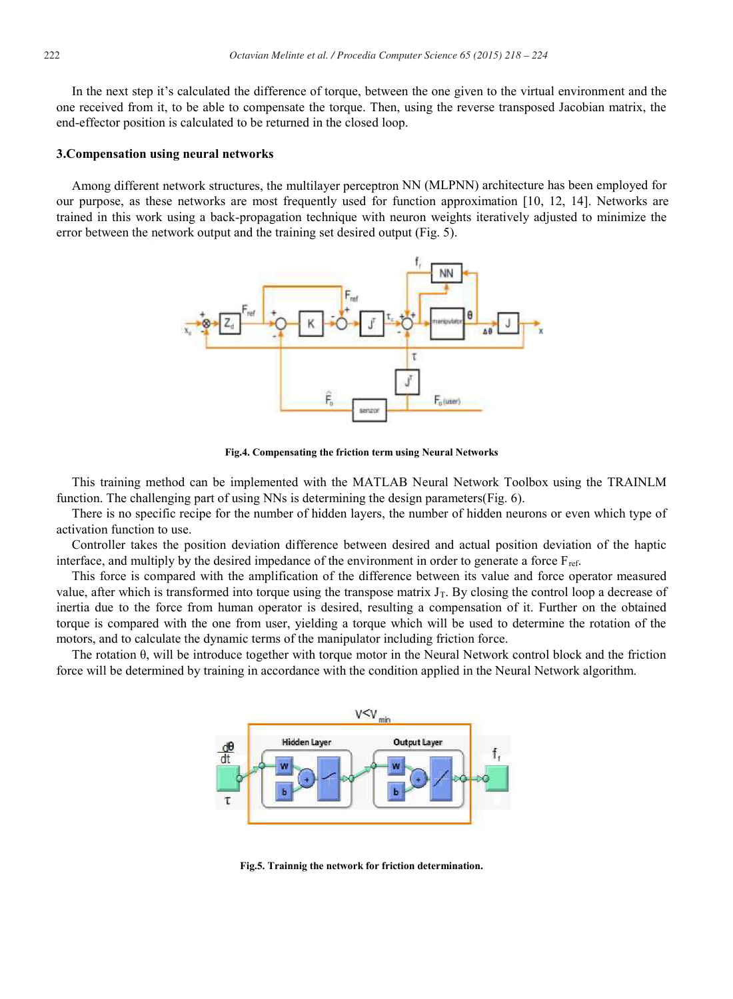In the next step it's calculated the difference of torque, between the one given to the virtual environment and the one received from it, to be able to compensate the torque. Then, using the reverse transposed Jacobian matrix, the end-effector position is calculated to be returned in the closed loop.

## **3.Compensation using neural networks**

Among different network structures, the multilayer perceptron NN (MLPNN) architecture has been employed for our purpose, as these networks are most frequently used for function approximation [10, 12, 14]. Networks are trained in this work using a back-propagation technique with neuron weights iteratively adjusted to minimize the error between the network output and the training set desired output (Fig. 5).



**Fig.4. Compensating the friction term using Neural Networks**

This training method can be implemented with the MATLAB Neural Network Toolbox using the TRAINLM function. The challenging part of using NNs is determining the design parameters(Fig. 6).

There is no specific recipe for the number of hidden layers, the number of hidden neurons or even which type of activation function to use.

Controller takes the position deviation difference between desired and actual position deviation of the haptic interface, and multiply by the desired impedance of the environment in order to generate a force Fref.

This force is compared with the amplification of the difference between its value and force operator measured value, after which is transformed into torque using the transpose matrix  $J_T$ . By closing the control loop a decrease of inertia due to the force from human operator is desired, resulting a compensation of it. Further on the obtained torque is compared with the one from user, yielding a torque which will be used to determine the rotation of the motors, and to calculate the dynamic terms of the manipulator including friction force.

The rotation θ, will be introduce together with torque motor in the Neural Network control block and the friction force will be determined by training in accordance with the condition applied in the Neural Network algorithm.



**Fig.5. Trainnig the network for friction determination.**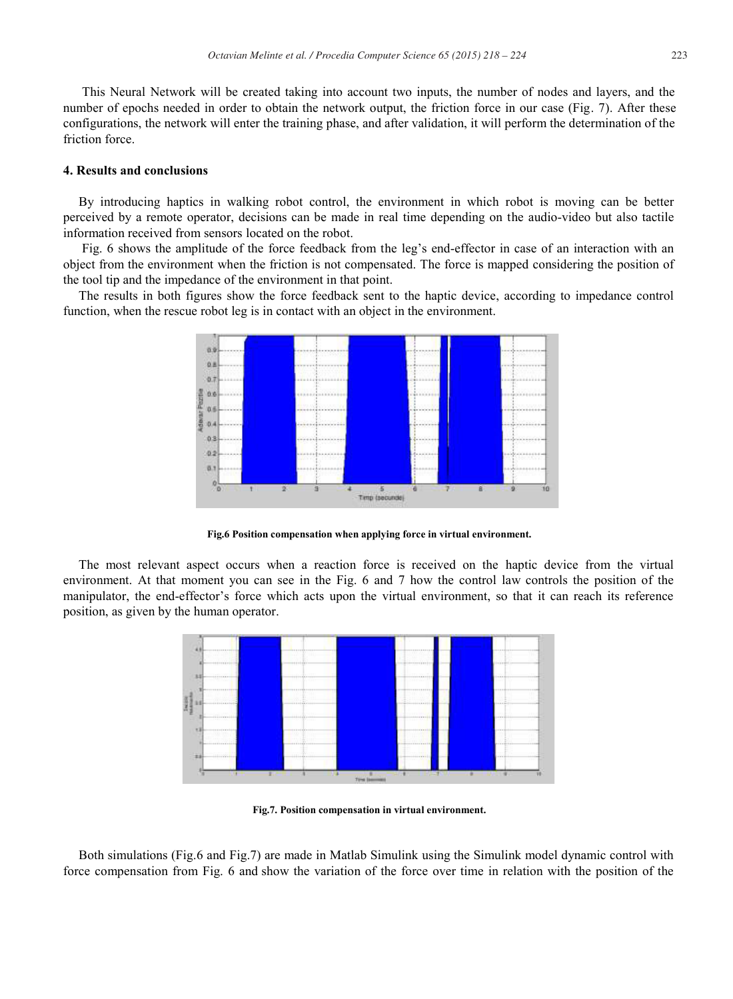This Neural Network will be created taking into account two inputs, the number of nodes and layers, and the number of epochs needed in order to obtain the network output, the friction force in our case (Fig. 7). After these configurations, the network will enter the training phase, and after validation, it will perform the determination of the friction force.

#### **4. Results and conclusions**

By introducing haptics in walking robot control, the environment in which robot is moving can be better perceived by a remote operator, decisions can be made in real time depending on the audio-video but also tactile information received from sensors located on the robot.

 Fig. 6 shows the amplitude of the force feedback from the leg's end-effector in case of an interaction with an object from the environment when the friction is not compensated. The force is mapped considering the position of the tool tip and the impedance of the environment in that point.

The results in both figures show the force feedback sent to the haptic device, according to impedance control function, when the rescue robot leg is in contact with an object in the environment.



**Fig.6 Position compensation when applying force in virtual environment.**

The most relevant aspect occurs when a reaction force is received on the haptic device from the virtual environment. At that moment you can see in the Fig. 6 and 7 how the control law controls the position of the manipulator, the end-effector's force which acts upon the virtual environment, so that it can reach its reference position, as given by the human operator.



**Fig.7. Position compensation in virtual environment.**

Both simulations (Fig.6 and Fig.7) are made in Matlab Simulink using the Simulink model dynamic control with force compensation from Fig. 6 and show the variation of the force over time in relation with the position of the